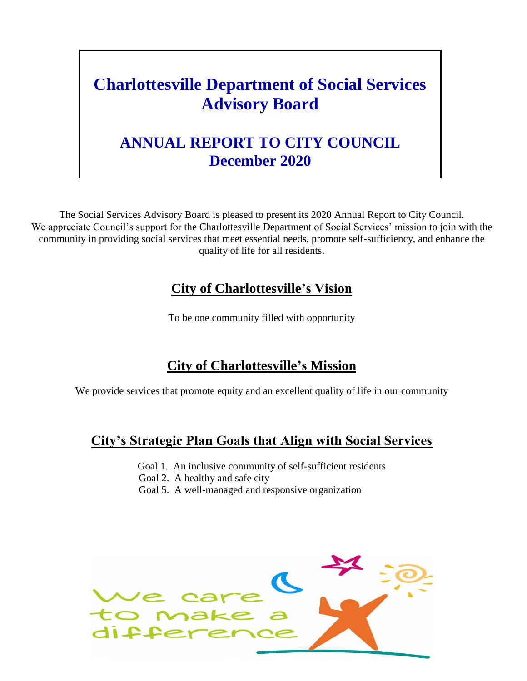# **Charlottesville Department of Social Services Advisory Board**

# **ANNUAL REPORT TO CITY COUNCIL December 2020**

The Social Services Advisory Board is pleased to present its 2020 Annual Report to City Council. We appreciate Council's support for the Charlottesville Department of Social Services' mission to join with the community in providing social services that meet essential needs, promote self-sufficiency, and enhance the quality of life for all residents.

### **City of Charlottesville's Vision**

To be one community filled with opportunity

# **City of Charlottesville's Mission**

We provide services that promote equity and an excellent quality of life in our community

### **City's Strategic Plan Goals that Align with Social Services**

- Goal 1. An inclusive community of self-sufficient residents
- Goal 2. A healthy and safe city
- Goal 5. A well-managed and responsive organization

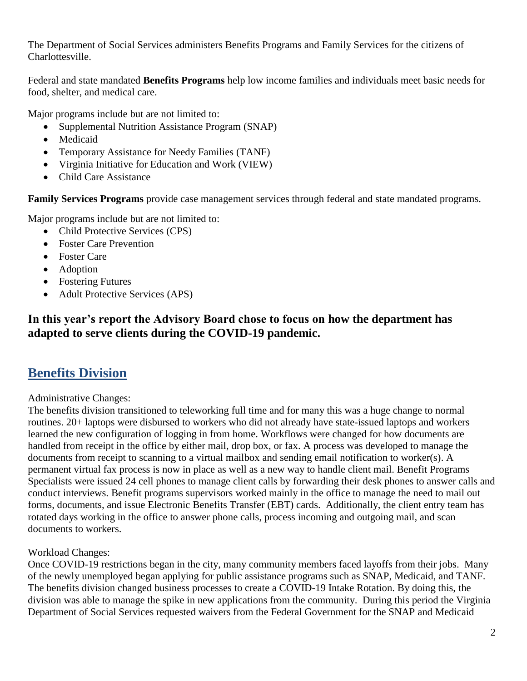The Department of Social Services administers Benefits Programs and Family Services for the citizens of Charlottesville.

Federal and state mandated **Benefits Programs** help low income families and individuals meet basic needs for food, shelter, and medical care.

Major programs include but are not limited to:

- Supplemental Nutrition Assistance Program (SNAP)
- Medicaid
- Temporary Assistance for Needy Families (TANF)
- Virginia Initiative for Education and Work (VIEW)
- Child Care Assistance

**Family Services Programs** provide case management services through federal and state mandated programs.

Major programs include but are not limited to:

- Child Protective Services (CPS)
- Foster Care Prevention
- Foster Care
- Adoption
- Fostering Futures
- Adult Protective Services (APS)

### **In this year's report the Advisory Board chose to focus on how the department has adapted to serve clients during the COVID-19 pandemic.**

### **Benefits Division**

Administrative Changes:

The benefits division transitioned to teleworking full time and for many this was a huge change to normal routines. 20+ laptops were disbursed to workers who did not already have state-issued laptops and workers learned the new configuration of logging in from home. Workflows were changed for how documents are handled from receipt in the office by either mail, drop box, or fax. A process was developed to manage the documents from receipt to scanning to a virtual mailbox and sending email notification to worker(s). A permanent virtual fax process is now in place as well as a new way to handle client mail. Benefit Programs Specialists were issued 24 cell phones to manage client calls by forwarding their desk phones to answer calls and conduct interviews. Benefit programs supervisors worked mainly in the office to manage the need to mail out forms, documents, and issue Electronic Benefits Transfer (EBT) cards. Additionally, the client entry team has rotated days working in the office to answer phone calls, process incoming and outgoing mail, and scan documents to workers.

### Workload Changes:

Once COVID-19 restrictions began in the city, many community members faced layoffs from their jobs. Many of the newly unemployed began applying for public assistance programs such as SNAP, Medicaid, and TANF. The benefits division changed business processes to create a COVID-19 Intake Rotation. By doing this, the division was able to manage the spike in new applications from the community. During this period the Virginia Department of Social Services requested waivers from the Federal Government for the SNAP and Medicaid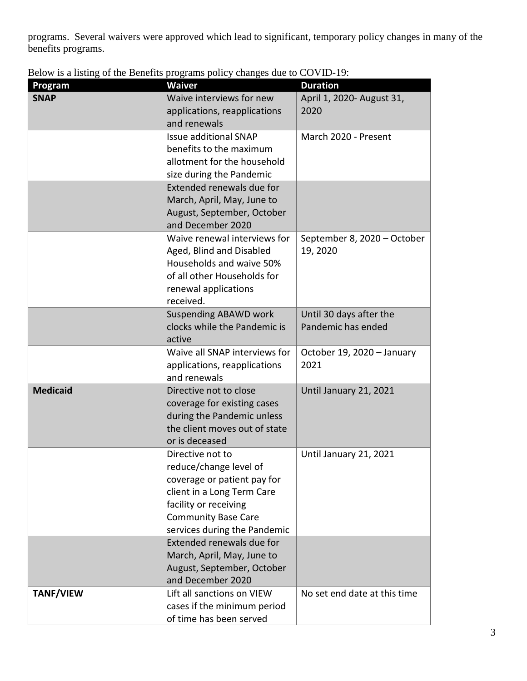programs. Several waivers were approved which lead to significant, temporary policy changes in many of the benefits programs.

|  |  | Below is a listing of the Benefits programs policy changes due to COVID-19: |
|--|--|-----------------------------------------------------------------------------|
|  |  |                                                                             |

| Program          | <b>Waiver</b>                                             | <b>Duration</b>              |
|------------------|-----------------------------------------------------------|------------------------------|
| <b>SNAP</b>      | Waive interviews for new                                  | April 1, 2020- August 31,    |
|                  | applications, reapplications                              | 2020                         |
|                  | and renewals                                              |                              |
|                  | <b>Issue additional SNAP</b>                              | March 2020 - Present         |
|                  | benefits to the maximum                                   |                              |
|                  | allotment for the household                               |                              |
|                  | size during the Pandemic                                  |                              |
|                  | Extended renewals due for                                 |                              |
|                  | March, April, May, June to                                |                              |
|                  | August, September, October                                |                              |
|                  | and December 2020                                         |                              |
|                  | Waive renewal interviews for                              | September 8, 2020 - October  |
|                  | Aged, Blind and Disabled                                  | 19, 2020                     |
|                  | Households and waive 50%                                  |                              |
|                  | of all other Households for                               |                              |
|                  | renewal applications                                      |                              |
|                  | received.                                                 |                              |
|                  | <b>Suspending ABAWD work</b>                              | Until 30 days after the      |
|                  | clocks while the Pandemic is                              | Pandemic has ended           |
|                  | active                                                    |                              |
|                  | Waive all SNAP interviews for                             | October 19, 2020 - January   |
|                  | applications, reapplications                              | 2021                         |
|                  | and renewals                                              |                              |
| <b>Medicaid</b>  | Directive not to close                                    | Until January 21, 2021       |
|                  | coverage for existing cases                               |                              |
|                  | during the Pandemic unless                                |                              |
|                  | the client moves out of state                             |                              |
|                  | or is deceased                                            |                              |
|                  | Directive not to                                          | Until January 21, 2021       |
|                  | reduce/change level of                                    |                              |
|                  | coverage or patient pay for                               |                              |
|                  | client in a Long Term Care                                |                              |
|                  | facility or receiving                                     |                              |
|                  | <b>Community Base Care</b>                                |                              |
|                  | services during the Pandemic<br>Extended renewals due for |                              |
|                  | March, April, May, June to                                |                              |
|                  | August, September, October                                |                              |
|                  | and December 2020                                         |                              |
| <b>TANF/VIEW</b> | Lift all sanctions on VIEW                                | No set end date at this time |
|                  | cases if the minimum period                               |                              |
|                  | of time has been served                                   |                              |
|                  |                                                           |                              |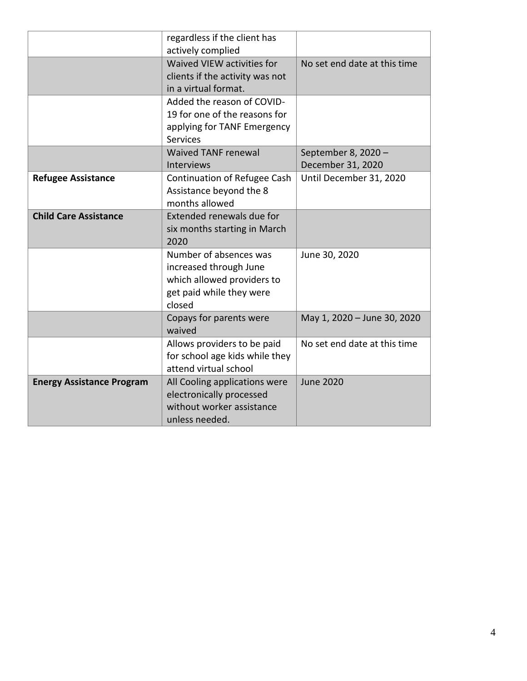|                                  | regardless if the client has<br>actively complied                                                                    |                                          |
|----------------------------------|----------------------------------------------------------------------------------------------------------------------|------------------------------------------|
|                                  | Waived VIEW activities for<br>clients if the activity was not<br>in a virtual format.                                | No set end date at this time             |
|                                  | Added the reason of COVID-<br>19 for one of the reasons for<br>applying for TANF Emergency<br><b>Services</b>        |                                          |
|                                  | <b>Waived TANF renewal</b><br><b>Interviews</b>                                                                      | September 8, 2020 -<br>December 31, 2020 |
| <b>Refugee Assistance</b>        | Continuation of Refugee Cash<br>Assistance beyond the 8<br>months allowed                                            | Until December 31, 2020                  |
| <b>Child Care Assistance</b>     | Extended renewals due for<br>six months starting in March<br>2020                                                    |                                          |
|                                  | Number of absences was<br>increased through June<br>which allowed providers to<br>get paid while they were<br>closed | June 30, 2020                            |
|                                  | Copays for parents were<br>waived                                                                                    | May 1, 2020 - June 30, 2020              |
|                                  | Allows providers to be paid<br>for school age kids while they<br>attend virtual school                               | No set end date at this time             |
| <b>Energy Assistance Program</b> | All Cooling applications were<br>electronically processed<br>without worker assistance<br>unless needed.             | <b>June 2020</b>                         |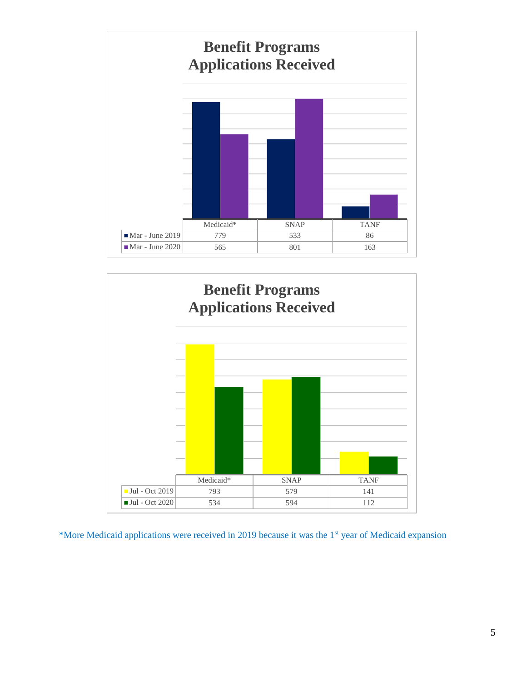



\*More Medicaid applications were received in 2019 because it was the 1<sup>st</sup> year of Medicaid expansion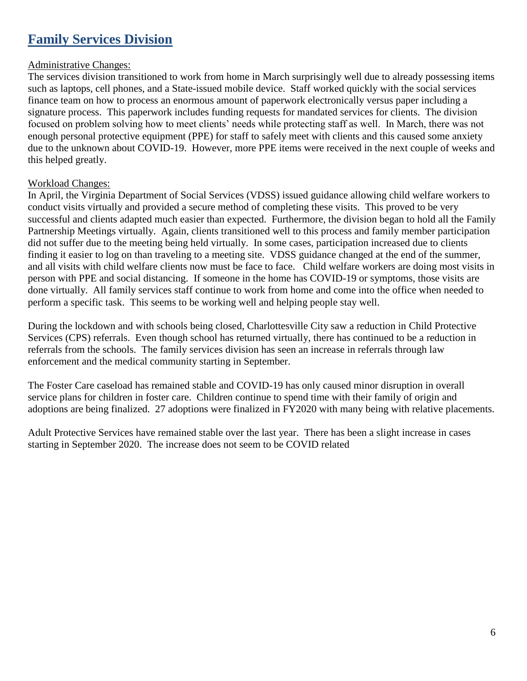# **Family Services Division**

#### Administrative Changes:

The services division transitioned to work from home in March surprisingly well due to already possessing items such as laptops, cell phones, and a State-issued mobile device. Staff worked quickly with the social services finance team on how to process an enormous amount of paperwork electronically versus paper including a signature process. This paperwork includes funding requests for mandated services for clients. The division focused on problem solving how to meet clients' needs while protecting staff as well. In March, there was not enough personal protective equipment (PPE) for staff to safely meet with clients and this caused some anxiety due to the unknown about COVID-19. However, more PPE items were received in the next couple of weeks and this helped greatly.

#### Workload Changes:

In April, the Virginia Department of Social Services (VDSS) issued guidance allowing child welfare workers to conduct visits virtually and provided a secure method of completing these visits. This proved to be very successful and clients adapted much easier than expected. Furthermore, the division began to hold all the Family Partnership Meetings virtually. Again, clients transitioned well to this process and family member participation did not suffer due to the meeting being held virtually. In some cases, participation increased due to clients finding it easier to log on than traveling to a meeting site. VDSS guidance changed at the end of the summer, and all visits with child welfare clients now must be face to face. Child welfare workers are doing most visits in person with PPE and social distancing. If someone in the home has COVID-19 or symptoms, those visits are done virtually. All family services staff continue to work from home and come into the office when needed to perform a specific task. This seems to be working well and helping people stay well.

During the lockdown and with schools being closed, Charlottesville City saw a reduction in Child Protective Services (CPS) referrals. Even though school has returned virtually, there has continued to be a reduction in referrals from the schools. The family services division has seen an increase in referrals through law enforcement and the medical community starting in September.

The Foster Care caseload has remained stable and COVID-19 has only caused minor disruption in overall service plans for children in foster care. Children continue to spend time with their family of origin and adoptions are being finalized. 27 adoptions were finalized in FY2020 with many being with relative placements.

Adult Protective Services have remained stable over the last year. There has been a slight increase in cases starting in September 2020. The increase does not seem to be COVID related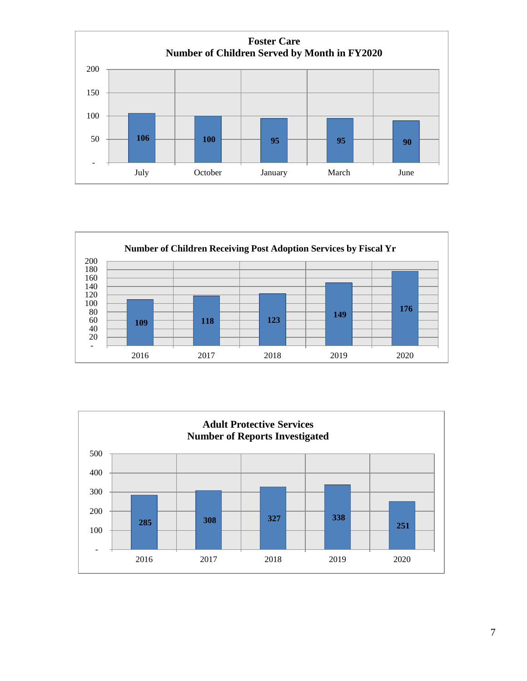



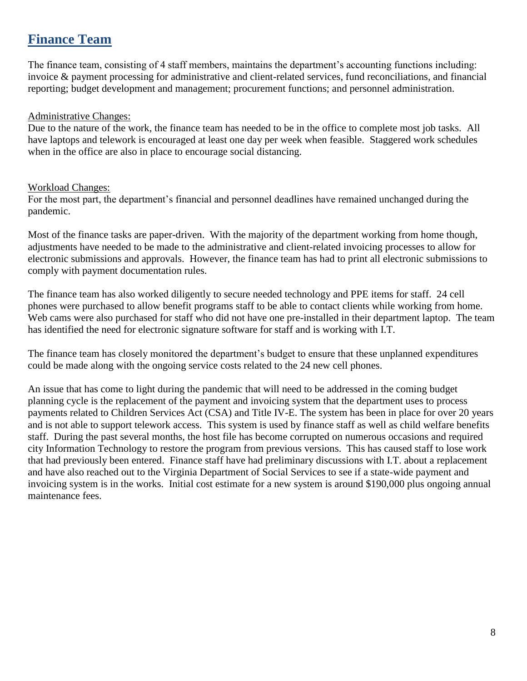### **Finance Team**

The finance team, consisting of 4 staff members, maintains the department's accounting functions including: invoice & payment processing for administrative and client-related services, fund reconciliations, and financial reporting; budget development and management; procurement functions; and personnel administration.

#### Administrative Changes:

Due to the nature of the work, the finance team has needed to be in the office to complete most job tasks. All have laptops and telework is encouraged at least one day per week when feasible. Staggered work schedules when in the office are also in place to encourage social distancing.

#### Workload Changes:

For the most part, the department's financial and personnel deadlines have remained unchanged during the pandemic.

Most of the finance tasks are paper-driven. With the majority of the department working from home though, adjustments have needed to be made to the administrative and client-related invoicing processes to allow for electronic submissions and approvals. However, the finance team has had to print all electronic submissions to comply with payment documentation rules.

The finance team has also worked diligently to secure needed technology and PPE items for staff. 24 cell phones were purchased to allow benefit programs staff to be able to contact clients while working from home. Web cams were also purchased for staff who did not have one pre-installed in their department laptop. The team has identified the need for electronic signature software for staff and is working with I.T.

The finance team has closely monitored the department's budget to ensure that these unplanned expenditures could be made along with the ongoing service costs related to the 24 new cell phones.

An issue that has come to light during the pandemic that will need to be addressed in the coming budget planning cycle is the replacement of the payment and invoicing system that the department uses to process payments related to Children Services Act (CSA) and Title IV-E. The system has been in place for over 20 years and is not able to support telework access. This system is used by finance staff as well as child welfare benefits staff. During the past several months, the host file has become corrupted on numerous occasions and required city Information Technology to restore the program from previous versions. This has caused staff to lose work that had previously been entered. Finance staff have had preliminary discussions with I.T. about a replacement and have also reached out to the Virginia Department of Social Services to see if a state-wide payment and invoicing system is in the works. Initial cost estimate for a new system is around \$190,000 plus ongoing annual maintenance fees.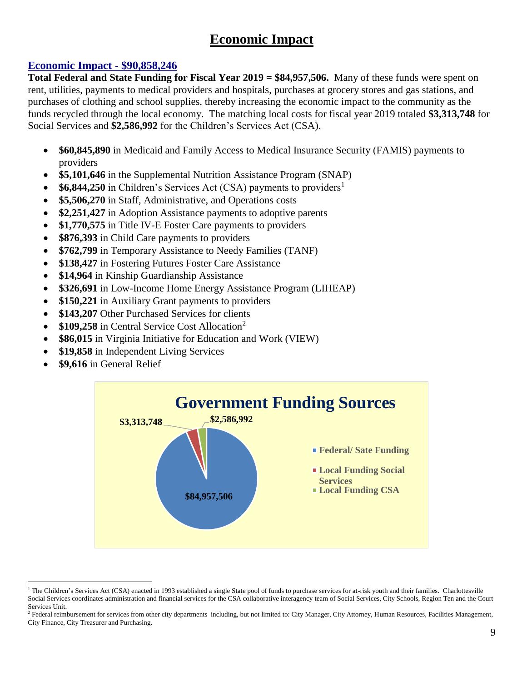# **Economic Impact**

### **Economic Impact - \$90,858,246**

**Total Federal and State Funding for Fiscal Year 2019 = \$84,957,506.** Many of these funds were spent on rent, utilities, payments to medical providers and hospitals, purchases at grocery stores and gas stations, and purchases of clothing and school supplies, thereby increasing the economic impact to the community as the funds recycled through the local economy. The matching local costs for fiscal year 2019 totaled **\$3,313,748** for Social Services and **\$2,586,992** for the Children's Services Act (CSA).

- **\$60,845,890** in Medicaid and Family Access to Medical Insurance Security (FAMIS) payments to providers
- **\$5,101,646** in the Supplemental Nutrition Assistance Program (SNAP)
- \$6,844,250 in Children's Services Act (CSA) payments to providers<sup>1</sup>
- **\$5,506,270** in Staff, Administrative, and Operations costs
- **\$2,251,427** in Adoption Assistance payments to adoptive parents
- \$1,770,575 in Title IV-E Foster Care payments to providers
- **\$876,393** in Child Care payments to providers
- **\$762,799** in Temporary Assistance to Needy Families (TANF)
- **\$138,427** in Fostering Futures Foster Care Assistance
- \$14,964 in Kinship Guardianship Assistance
- **\$326,691** in Low-Income Home Energy Assistance Program (LIHEAP)
- \$150,221 in Auxiliary Grant payments to providers
- **\$143,207** Other Purchased Services for clients
- **\$109,258** in Central Service Cost Allocation<sup>2</sup>
- **\$86,015** in Virginia Initiative for Education and Work (VIEW)
- **\$19,858** in Independent Living Services
- **\$9,616** in General Relief

 $\overline{a}$ 



<sup>&</sup>lt;sup>1</sup> The Children's Services Act (CSA) enacted in 1993 established a single State pool of funds to purchase services for at-risk youth and their families. Charlottesville Social Services coordinates administration and financial services for the CSA collaborative interagency team of Social Services, City Schools, Region Ten and the Court Services Unit.

<sup>2</sup> Federal reimbursement for services from other city departments including, but not limited to: City Manager, City Attorney, Human Resources, Facilities Management, City Finance, City Treasurer and Purchasing.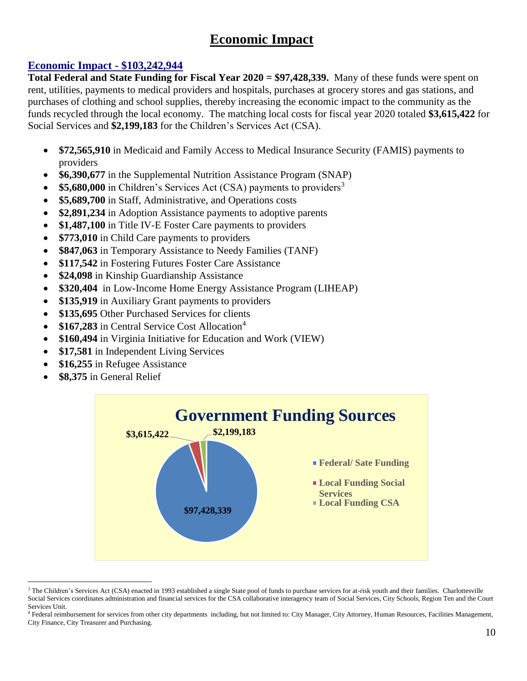# **Economic Impact**

### **Economic Impact - \$103,242,944**

**Total Federal and State Funding for Fiscal Year 2020 = \$97,428,339.** Many of these funds were spent on rent, utilities, payments to medical providers and hospitals, purchases at grocery stores and gas stations, and purchases of clothing and school supplies, thereby increasing the economic impact to the community as the funds recycled through the local economy. The matching local costs for fiscal year 2020 totaled **\$3,615,422** for Social Services and **\$2,199,183** for the Children's Services Act (CSA).

- **\$72,565,910** in Medicaid and Family Access to Medical Insurance Security (FAMIS) payments to providers
- **\$6,390,677** in the Supplemental Nutrition Assistance Program (SNAP)
- **\$5,680,000** in Children's Services Act (CSA) payments to providers<sup>3</sup>
- **\$5,689,700** in Staff, Administrative, and Operations costs
- \$2,891,234 in Adoption Assistance payments to adoptive parents
- \$1,487,100 in Title IV-E Foster Care payments to providers
- **\$773,010** in Child Care payments to providers
- **\$847,063** in Temporary Assistance to Needy Families (TANF)
- **\$117,542** in Fostering Futures Foster Care Assistance
- **\$24,098** in Kinship Guardianship Assistance
- **\$320,404** in Low-Income Home Energy Assistance Program (LIHEAP)
- \$135,919 in Auxiliary Grant payments to providers
- **\$135,695** Other Purchased Services for clients
- \$167,283 in Central Service Cost Allocation<sup>4</sup>
- **\$160,494** in Virginia Initiative for Education and Work (VIEW)
- \$17,581 in Independent Living Services
- **\$16,255** in Refugee Assistance
- **\$8,375** in General Relief

 $\overline{a}$ 



<sup>&</sup>lt;sup>3</sup> The Children's Services Act (CSA) enacted in 1993 established a single State pool of funds to purchase services for at-risk youth and their families. Charlottesville Social Services coordinates administration and financial services for the CSA collaborative interagency team of Social Services, City Schools, Region Ten and the Court Services Unit.

<sup>&</sup>lt;sup>4</sup> Federal reimbursement for services from other city departments including, but not limited to: City Manager, City Attorney, Human Resources, Facilities Management, City Finance, City Treasurer and Purchasing.